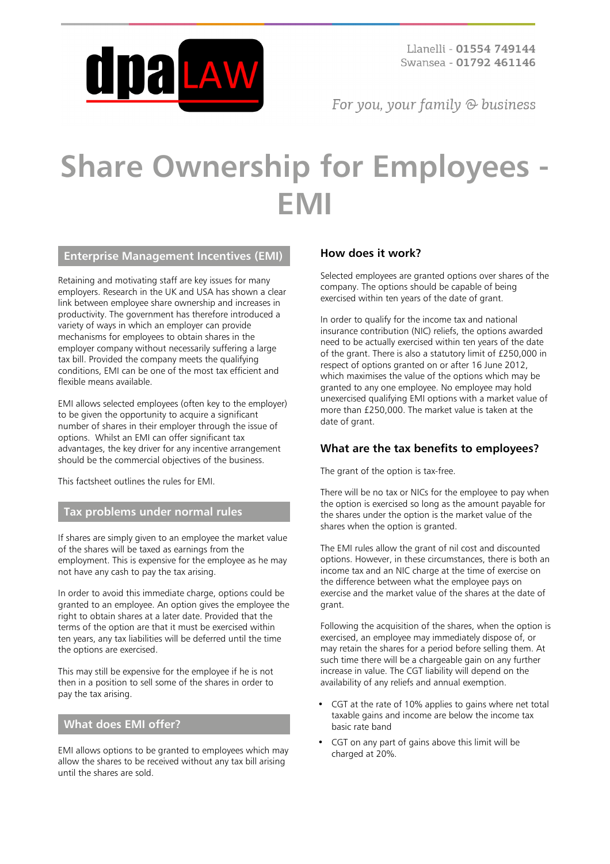

For you, your family  $\odot$  business

# **Share Ownership for Employees - EMI**

#### **Enterprise Management Incentives (EMI)**

Retaining and motivating staff are key issues for many employers. Research in the UK and USA has shown a clear link between employee share ownership and increases in productivity. The government has therefore introduced a variety of ways in which an employer can provide mechanisms for employees to obtain shares in the employer company without necessarily suffering a large tax bill. Provided the company meets the qualifying conditions, EMI can be one of the most tax efficient and flexible means available.

EMI allows selected employees (often key to the employer) to be given the opportunity to acquire a significant number of shares in their employer through the issue of options. Whilst an EMI can offer significant tax advantages, the key driver for any incentive arrangement should be the commercial objectives of the business.

This factsheet outlines the rules for EMI.

#### **Tax problems under normal rules**

If shares are simply given to an employee the market value of the shares will be taxed as earnings from the employment. This is expensive for the employee as he may not have any cash to pay the tax arising.

In order to avoid this immediate charge, options could be granted to an employee. An option gives the employee the right to obtain shares at a later date. Provided that the terms of the option are that it must be exercised within ten years, any tax liabilities will be deferred until the time the options are exercised.

This may still be expensive for the employee if he is not then in a position to sell some of the shares in order to pay the tax arising.

#### **What does EMI offer?**

EMI allows options to be granted to employees which may allow the shares to be received without any tax bill arising until the shares are sold.

#### **How does it work?**

Selected employees are granted options over shares of the company. The options should be capable of being exercised within ten years of the date of grant.

In order to qualify for the income tax and national insurance contribution (NIC) reliefs, the options awarded need to be actually exercised within ten years of the date of the grant. There is also a statutory limit of £250,000 in respect of options granted on or after 16 June 2012, which maximises the value of the options which may be granted to any one employee. No employee may hold unexercised qualifying EMI options with a market value of more than £250,000. The market value is taken at the date of grant.

#### **What are the tax benefits to employees?**

The grant of the option is tax-free.

There will be no tax or NICs for the employee to pay when the option is exercised so long as the amount payable for the shares under the option is the market value of the shares when the option is granted.

The EMI rules allow the grant of nil cost and discounted options. However, in these circumstances, there is both an income tax and an NIC charge at the time of exercise on the difference between what the employee pays on exercise and the market value of the shares at the date of grant.

Following the acquisition of the shares, when the option is exercised, an employee may immediately dispose of, or may retain the shares for a period before selling them. At such time there will be a chargeable gain on any further increase in value. The CGT liability will depend on the availability of any reliefs and annual exemption.

- CGT at the rate of 10% applies to gains where net total taxable gains and income are below the income tax basic rate band
- CGT on any part of gains above this limit will be charged at 20%.